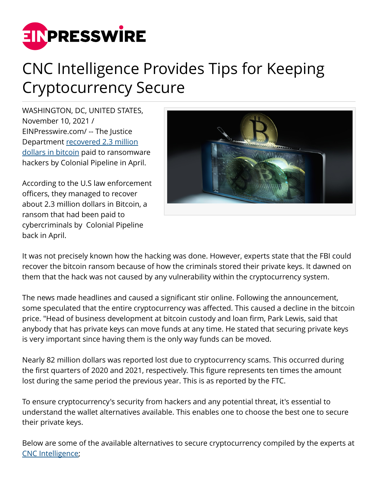

## CNC Intelligence Provides Tips for Keeping Cryptocurrency Secure

WASHINGTON, DC, UNITED STATES, November 10, 2021 / [EINPresswire.com](http://www.einpresswire.com)/ -- The Justice Department [recovered 2.3 million](https://www.cnbc.com/2021/06/07/us-recovers-some-of-the-money-paid-in-the-colonial-pipeline-ransom-officials-say.html) [dollars in bitcoin](https://www.cnbc.com/2021/06/07/us-recovers-some-of-the-money-paid-in-the-colonial-pipeline-ransom-officials-say.html) paid to ransomware hackers by Colonial Pipeline in April.

According to the U.S law enforcement officers, they managed to recover about 2.3 million dollars in Bitcoin, a ransom that had been paid to cybercriminals by Colonial Pipeline back in April.



It was not precisely known how the hacking was done. However, experts state that the FBI could recover the bitcoin ransom because of how the criminals stored their private keys. It dawned on them that the hack was not caused by any vulnerability within the cryptocurrency system.

The news made headlines and caused a significant stir online. Following the announcement, some speculated that the entire cryptocurrency was affected. This caused a decline in the bitcoin price. "Head of business development at bitcoin custody and loan firm, Park Lewis, said that anybody that has private keys can move funds at any time. He stated that securing private keys is very important since having them is the only way funds can be moved.

Nearly 82 million dollars was reported lost due to cryptocurrency scams. This occurred during the first quarters of 2020 and 2021, respectively. This figure represents ten times the amount lost during the same period the previous year. This is as reported by the FTC.

To ensure cryptocurrency's security from hackers and any potential threat, it's essential to understand the wallet alternatives available. This enables one to choose the best one to secure their private keys.

Below are some of the available alternatives to secure cryptocurrency compiled by the experts at [CNC Intelligence](https://cncintel.com/);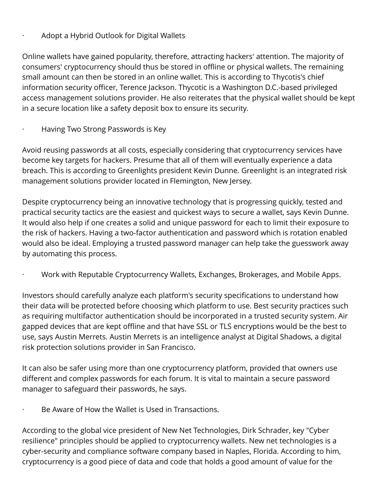## · Adopt a Hybrid Outlook for Digital Wallets

Online wallets have gained popularity, therefore, attracting hackers' attention. The majority of consumers' cryptocurrency should thus be stored in offline or physical wallets. The remaining small amount can then be stored in an online wallet. This is according to Thycotis's chief information security officer, Terence Jackson. Thycotic is a Washington D.C.-based privileged access management solutions provider. He also reiterates that the physical wallet should be kept in a secure location like a safety deposit box to ensure its security.

· Having Two Strong Passwords is Key

Avoid reusing passwords at all costs, especially considering that cryptocurrency services have become key targets for hackers. Presume that all of them will eventually experience a data breach. This is according to Greenlights president Kevin Dunne. Greenlight is an integrated risk management solutions provider located in Flemington, New Jersey.

Despite cryptocurrency being an innovative technology that is progressing quickly, tested and practical security tactics are the easiest and quickest ways to secure a wallet, says Kevin Dunne. It would also help if one creates a solid and unique password for each to limit their exposure to the risk of hackers. Having a two-factor authentication and password which is rotation enabled would also be ideal. Employing a trusted password manager can help take the guesswork away by automating this process.

· Work with Reputable Cryptocurrency Wallets, Exchanges, Brokerages, and Mobile Apps.

Investors should carefully analyze each platform's security specifications to understand how their data will be protected before choosing which platform to use. Best security practices such as requiring multifactor authentication should be incorporated in a trusted security system. Air gapped devices that are kept offline and that have SSL or TLS encryptions would be the best to use, says Austin Merrets. Austin Merrets is an intelligence analyst at Digital Shadows, a digital risk protection solutions provider in San Francisco.

It can also be safer using more than one cryptocurrency platform, provided that owners use different and complex passwords for each forum. It is vital to maintain a secure password manager to safeguard their passwords, he says.

Be Aware of How the Wallet is Used in Transactions.

According to the global vice president of New Net Technologies, Dirk Schrader, key "Cyber resilience" principles should be applied to cryptocurrency wallets. New net technologies is a cyber-security and compliance software company based in Naples, Florida. According to him, cryptocurrency is a good piece of data and code that holds a good amount of value for the